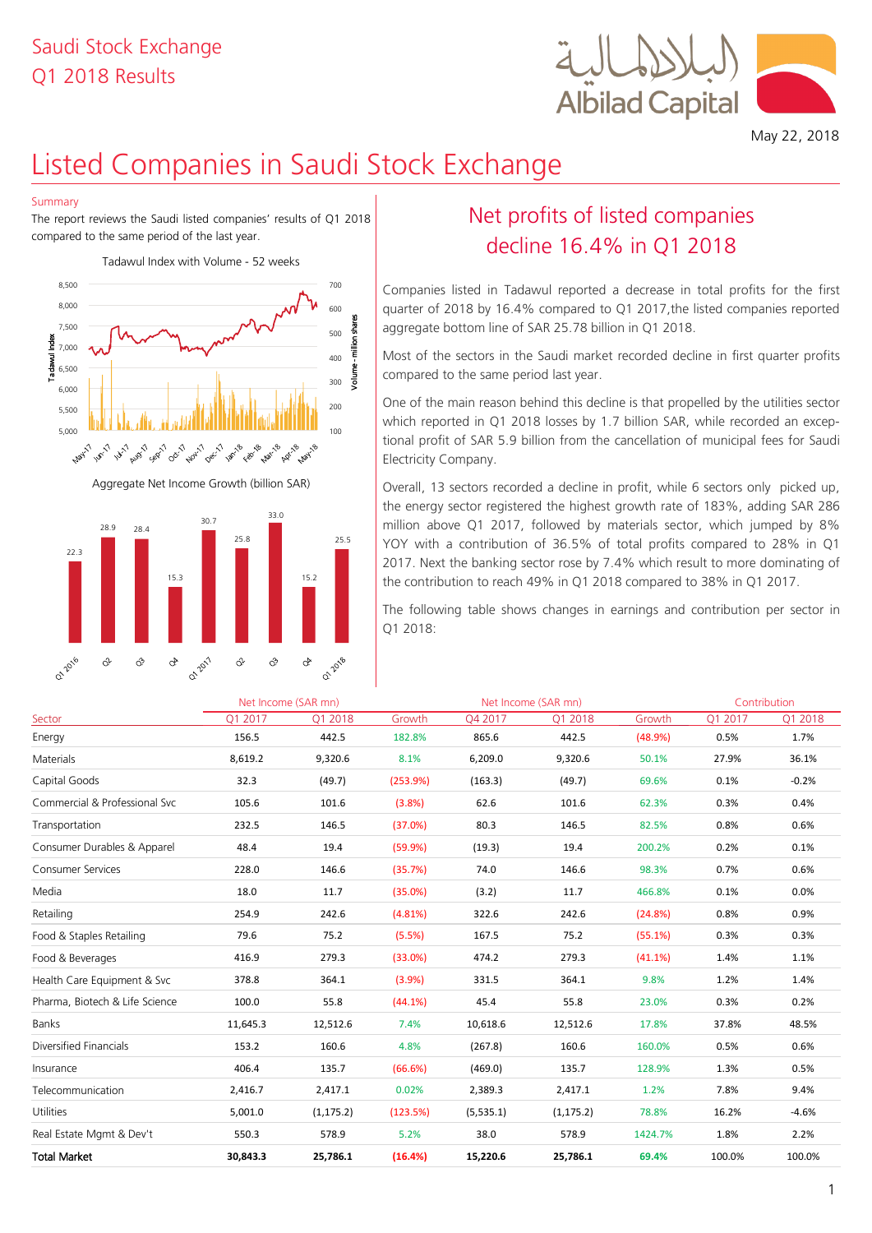## Q1 2018 Results Saudi Stock Exchange



May 22, 2018

# Listed Companies in Saudi Stock Exchange

#### Summary

The report reviews the Saudi listed companies' results of Q1 2018 compared to the same period of the last year.





## Net profits of listed companies decline 16.4% in Q1 2018

Companies listed in Tadawul reported a decrease in total profits for the first quarter of 2018 by 16.4% compared to Q1 2017,the listed companies reported aggregate bottom line of SAR 25.78 billion in Q1 2018.

Most of the sectors in the Saudi market recorded decline in first quarter profits compared to the same period last year.

One of the main reason behind this decline is that propelled by the utilities sector which reported in Q1 2018 losses by 1.7 billion SAR, while recorded an exceptional profit of SAR 5.9 billion from the cancellation of municipal fees for Saudi Electricity Company.

Overall, 13 sectors recorded a decline in profit, while 6 sectors only picked up, the energy sector registered the highest growth rate of 183%, adding SAR 286 million above Q1 2017, followed by materials sector, which jumped by 8% YOY with a contribution of 36.5% of total profits compared to 28% in Q1 2017. Next the banking sector rose by 7.4% which result to more dominating of the contribution to reach 49% in Q1 2018 compared to 38% in Q1 2017.

| 22.3                          |                                | 15.3 |                           | 15.2                 | 2017. Next the banking sector rose by 7.4% which result to more dominating of<br>the contribution to reach 49% in Q1 2018 compared to 38% in Q1 2017. |              |                                                                              |         |         |         |  |
|-------------------------------|--------------------------------|------|---------------------------|----------------------|-------------------------------------------------------------------------------------------------------------------------------------------------------|--------------|------------------------------------------------------------------------------|---------|---------|---------|--|
|                               |                                |      |                           |                      | Q1 2018:                                                                                                                                              |              | The following table shows changes in earnings and contribution per sector in |         |         |         |  |
| <b>01-2016</b>                | ở<br>I                         | ♂    | <b>01.2017</b><br>ở<br>Ŷ. | <b>01-2018</b><br>o, |                                                                                                                                                       |              |                                                                              |         |         |         |  |
| Net Income (SAR mn)           |                                |      |                           |                      | Net Income (SAR mn)                                                                                                                                   | Contribution |                                                                              |         |         |         |  |
| Sector                        |                                |      | O1 2017                   | Q1 2018              | Growth                                                                                                                                                | O4 2017      | Q1 2018                                                                      | Growth  | Q1 2017 | Q1 2018 |  |
| Energy                        |                                |      | 156.5                     | 442.5                | 182.8%                                                                                                                                                | 865.6        | 442.5                                                                        | (48.9%) | 0.5%    | 1.7%    |  |
| Materials                     |                                |      | 8,619.2                   | 9,320.6              | 8.1%                                                                                                                                                  | 6,209.0      | 9,320.6                                                                      | 50.1%   | 27.9%   | 36.1%   |  |
| Capital Goods                 |                                |      | 32.3                      | (49.7)               | (253.9%)                                                                                                                                              | (163.3)      | (49.7)                                                                       | 69.6%   | 0.1%    | $-0.2%$ |  |
| Commercial & Professional Svc |                                |      | 105.6                     | 101.6                | (3.8%)                                                                                                                                                | 62.6         | 101.6                                                                        | 62.3%   | 0.3%    | 0.4%    |  |
| Transportation                |                                |      | 232.5                     | 146.5                | (37.0%)                                                                                                                                               | 80.3         | 146.5                                                                        | 82.5%   | 0.8%    | 0.6%    |  |
|                               | Consumer Durables & Apparel    |      | 48.4                      | 19.4                 | (59.9%)                                                                                                                                               | (19.3)       | 19.4                                                                         | 200.2%  | 0.2%    | 0.1%    |  |
| <b>Consumer Services</b>      |                                |      | 228.0                     | 146.6                | (35.7%)                                                                                                                                               | 74.0         | 146.6                                                                        | 98.3%   | 0.7%    | 0.6%    |  |
| Media                         |                                |      | 18.0                      | 11.7                 | (35.0%)                                                                                                                                               | (3.2)        | 11.7                                                                         | 466.8%  | 0.1%    | 0.0%    |  |
| Retailing                     |                                |      | 254.9                     | 242.6                | (4.81%)                                                                                                                                               | 322.6        | 242.6                                                                        | (24.8%) | 0.8%    | 0.9%    |  |
|                               | Food & Staples Retailing       |      | 79.6                      | 75.2                 | (5.5%)                                                                                                                                                | 167.5        | 75.2                                                                         | (55.1%) | 0.3%    | 0.3%    |  |
| Food & Beverages              |                                |      | 416.9                     | 279.3                | (33.0%)                                                                                                                                               | 474.2        | 279.3                                                                        | (41.1%) | 1.4%    | 1.1%    |  |
|                               | Health Care Equipment & Svc    |      | 378.8                     | 364.1                | (3.9%)                                                                                                                                                | 331.5        | 364.1                                                                        | 9.8%    | 1.2%    | 1.4%    |  |
|                               | Pharma, Biotech & Life Science |      | 100.0                     | 55.8                 | (44.1%)                                                                                                                                               | 45.4         | 55.8                                                                         | 23.0%   | 0.3%    | 0.2%    |  |
| <b>Banks</b>                  |                                |      | 11,645.3                  | 12,512.6             | 7.4%                                                                                                                                                  | 10,618.6     | 12,512.6                                                                     | 17.8%   | 37.8%   | 48.5%   |  |
| Diversified Financials        |                                |      | 153.2                     | 160.6                | 4.8%                                                                                                                                                  | (267.8)      | 160.6                                                                        | 160.0%  | 0.5%    | 0.6%    |  |
| Insurance                     |                                |      | 406.4                     | 135.7                | (66.6%)                                                                                                                                               | (469.0)      | 135.7                                                                        | 128.9%  | 1.3%    | 0.5%    |  |
| Telecommunication             |                                |      | 2,416.7                   | 2,417.1              | 0.02%                                                                                                                                                 | 2,389.3      | 2,417.1                                                                      | 1.2%    | 7.8%    | 9.4%    |  |
| Utilities                     |                                |      | 5,001.0                   | (1, 175.2)           | (123.5%)                                                                                                                                              | (5, 535.1)   | (1, 175.2)                                                                   | 78.8%   | 16.2%   | $-4.6%$ |  |
|                               | Real Estate Mgmt & Dev't       |      | 550.3                     | 578.9                | 5.2%                                                                                                                                                  | 38.0         | 578.9                                                                        | 1424.7% | 1.8%    | 2.2%    |  |
| <b>Total Market</b>           |                                |      | 30,843.3                  | 25,786.1             | (16.4%)                                                                                                                                               | 15,220.6     | 25,786.1                                                                     | 69.4%   | 100.0%  | 100.0%  |  |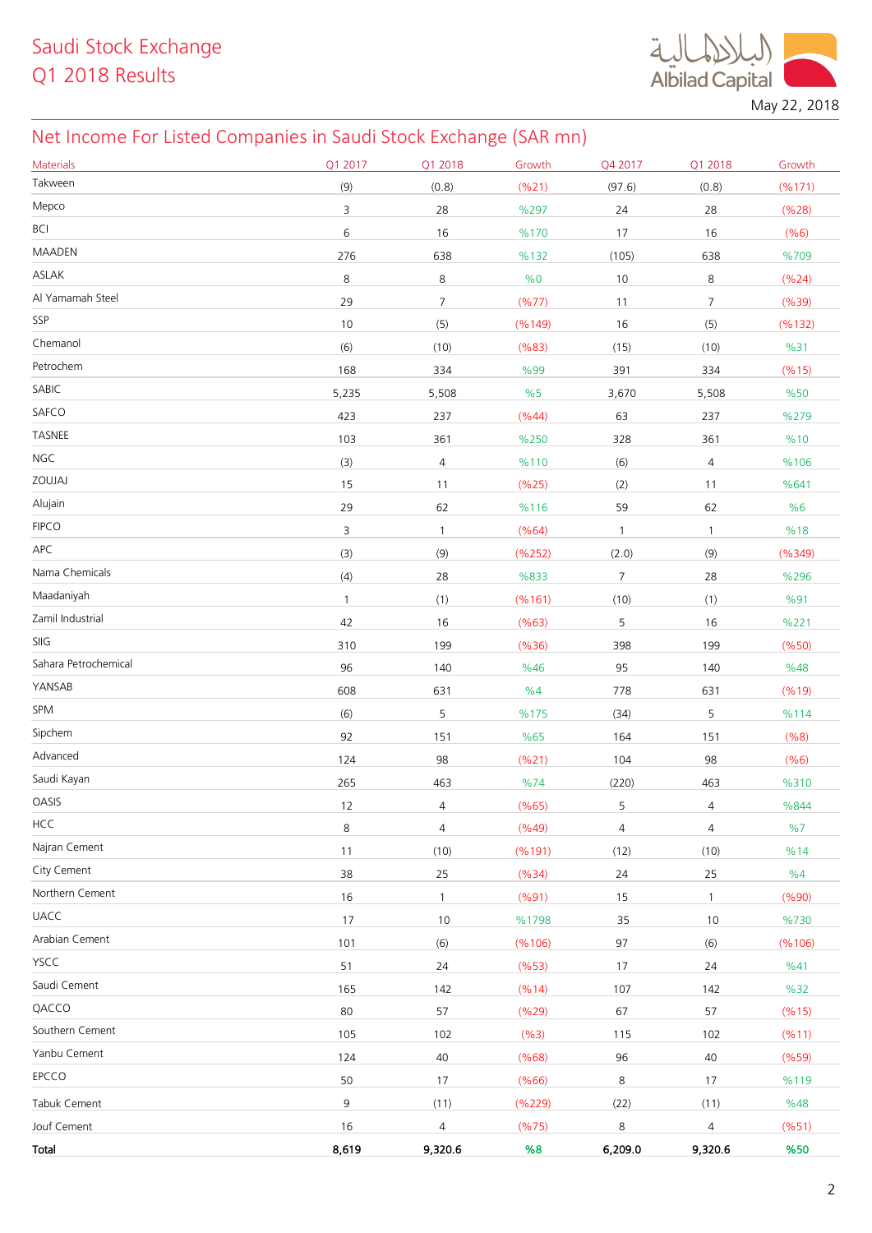**Albilad Capital** 

May 22, 2018

## Net Income For Listed Companies in Saudi Stock Exchange (SAR mn)

| <b>Materials</b>     | Q1 2017      | Q1 2018        | Growth  | Q4 2017      | Q1 2018        | Growth  |
|----------------------|--------------|----------------|---------|--------------|----------------|---------|
| Takween              | (9)          | (0.8)          | (%21)   | (97.6)       | (0.8)          | (%171)  |
| Mepco                | 3            | 28             | %297    | 24           | 28             | (%28)   |
| <b>BCI</b>           | 6            | 16             | %170    | 17           | 16             | (%6)    |
| <b>MAADEN</b>        | 276          | 638            | %132    | (105)        | 638            | %709    |
| ASLAK                | 8            | 8              | %0      | 10           | 8              | (%24)   |
| Al Yamamah Steel     | 29           | $\overline{7}$ | (%77)   | 11           | $\overline{7}$ | (%39)   |
| SSP                  | 10           | (5)            | (%149)  | 16           | (5)            | (%132)  |
| Chemanol             | (6)          | (10)           | (%83)   | (15)         | (10)           | %31     |
| Petrochem            | 168          | 334            | %99     | 391          | 334            | (%15)   |
| SABIC                | 5,235        | 5,508          | %5      | 3,670        | 5,508          | %50     |
| SAFCO                | 423          | 237            | (%44)   | 63           | 237            | %279    |
| TASNEE               | 103          | 361            | %250    | 328          | 361            | %10     |
| <b>NGC</b>           | (3)          | 4              | %110    | (6)          | $\overline{4}$ | %106    |
| ZOUJAJ               | 15           | 11             | (%25)   | (2)          | 11             | %641    |
| Alujain              | 29           | 62             | %116    | 59           | 62             | %6      |
| <b>FIPCO</b>         | 3            | $\mathbf{1}$   | (%64)   | $\mathbf{1}$ | $\mathbf{1}$   | %18     |
| APC                  | (3)          | (9)            | (% 252) | (2.0)        | (9)            | (%349)  |
| Nama Chemicals       | (4)          | 28             | %833    | 7            | 28             | %296    |
| Maadaniyah           | $\mathbf{1}$ | (1)            | (%161)  | (10)         | (1)            | %91     |
| Zamil Industrial     | 42           | 16             | (%63)   | 5            | 16             | %221    |
| SIIG                 | 310          | 199            | (% 36)  | 398          | 199            | (%50)   |
| Sahara Petrochemical | 96           | 140            | %46     | 95           | 140            | %48     |
| YANSAB               | 608          | 631            | %4      | 778          | 631            | (%19)   |
| SPM                  | (6)          | 5              | %175    | (34)         | 5              | %114    |
| Sipchem              | 92           | 151            | %65     | 164          | 151            | (%8)    |
| Advanced             | 124          | 98             | (%21)   | 104          | 98             | (% 6)   |
| Saudi Kayan          | 265          | 463            | %74     | (220)        | 463            | %310    |
| OASIS                | 12           | 4              | (%65)   | 5            | 4              | %844    |
| <b>HCC</b>           | 8            | 4              | (%49)   | 4            | $\overline{4}$ | %7      |
| Najran Cement        | 11           | (10)           | (%191)  | (12)         | (10)           | %14     |
| City Cement          | 38           | 25             | (%34)   | 24           | 25             | %4      |
| Northern Cement      | 16           | $\mathbf{1}$   | (%91)   | 15           | $\mathbf{1}$   | (%90)   |
| <b>UACC</b>          | 17           | 10             | %1798   | 35           | 10             | %730    |
| Arabian Cement       | 101          | (6)            | (% 106) | 97           | (6)            | (% 106) |
| YSCC                 | 51           | 24             | (%53)   | 17           | 24             | %41     |
| Saudi Cement         | 165          | 142            | (%14)   | 107          | 142            | %32     |
| QACCO                | 80           | 57             | (%29)   | 67           | 57             | (%15)   |
| Southern Cement      | 105          | 102            | (%3)    | 115          | 102            | (%11)   |
| Yanbu Cement         | 124          | 40             | (% 68)  | 96           | 40             | (%59)   |
| EPCCO                | 50           | 17             | (% 66)  | 8            | 17             | %119    |
| Tabuk Cement         | 9            | (11)           | (%229)  | (22)         | (11)           | %48     |
| Jouf Cement          | 16           | $\overline{4}$ | (%75)   | 8            | $\overline{4}$ | (%51)   |
| Total                | 8,619        | 9,320.6        | %8      | 6,209.0      | 9,320.6        | %50     |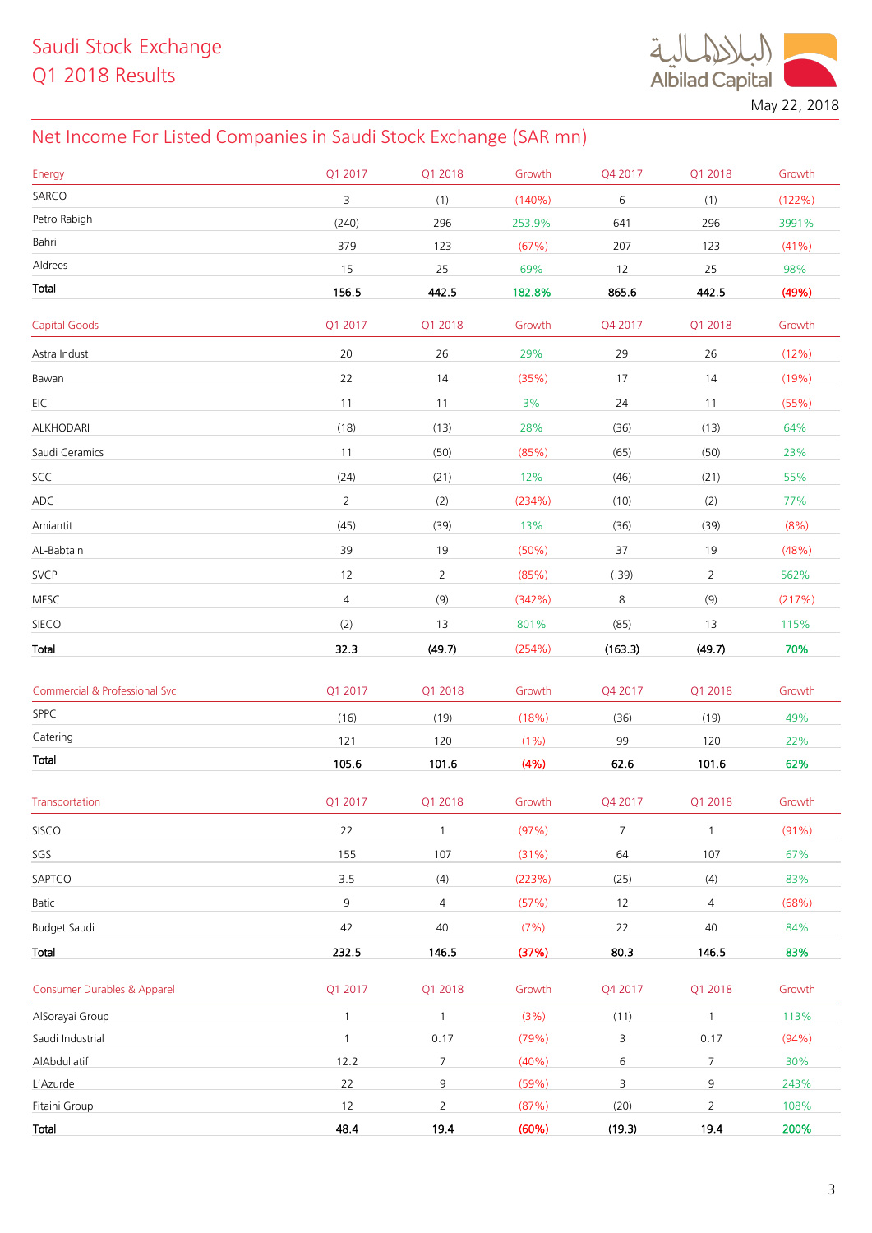

May 22, 2018

## Net Income For Listed Companies in Saudi Stock Exchange (SAR mn)

| Energy                                   | Q1 2017        | Q1 2018        | Growth | Q4 2017        | Q1 2018         | Growth |
|------------------------------------------|----------------|----------------|--------|----------------|-----------------|--------|
| SARCO                                    | 3              | (1)            | (140%) | 6              | (1)             | (122%) |
| Petro Rabigh                             | (240)          | 296            | 253.9% | 641            | 296             | 3991%  |
| Bahri                                    | 379            | 123            | (67%)  | 207            | 123             | (41%)  |
| Aldrees                                  | 15             | 25             | 69%    | 12             | 25              | 98%    |
| Total                                    | 156.5          | 442.5          | 182.8% | 865.6          | 442.5           | (49%)  |
| <b>Capital Goods</b>                     | Q1 2017        | Q1 2018        | Growth | Q4 2017        | Q1 2018         | Growth |
| Astra Indust                             | 20             | 26             | 29%    | 29             | 26              | (12%)  |
| Bawan                                    | 22             | 14             | (35%)  | 17             | 14              | (19%)  |
| EIC                                      | 11             | 11             | 3%     | 24             | 11              | (55%)  |
| ALKHODARI                                | (18)           | (13)           | 28%    | (36)           | (13)            | 64%    |
| Saudi Ceramics                           | 11             | (50)           | (85%)  | (65)           | (50)            | 23%    |
| SCC                                      | (24)           | (21)           | 12%    | (46)           | (21)            | 55%    |
| ADC                                      | $\overline{2}$ | (2)            | (234%) | (10)           | (2)             | 77%    |
| Amiantit                                 | (45)           | (39)           | 13%    | (36)           | (39)            | (8% )  |
| AL-Babtain                               | 39             | 19             | (50%)  | 37             | 19              | (48%)  |
| SVCP                                     | 12             | $\overline{2}$ | (85%)  | (.39)          | $\overline{2}$  | 562%   |
| MESC                                     | $\sqrt{4}$     | (9)            | (342%) | 8              | (9)             | (217%) |
| SIECO                                    | (2)            | 13             | 801%   | (85)           | 13              | 115%   |
| Total                                    | 32.3           | (49.7)         | (254%) | (163.3)        | (49.7)          | 70%    |
|                                          |                |                |        |                |                 |        |
| <b>Commercial &amp; Professional Svc</b> | Q1 2017        | Q1 2018        | Growth | Q4 2017        | Q1 2018         | Growth |
| SPPC                                     | (16)           | (19)           | (18%)  | (36)           | (19)            | 49%    |
| Catering                                 | 121            | 120            | (1% )  | 99             | 120             | 22%    |
| Total                                    | 105.6          | 101.6          | (4% )  | 62.6           | 101.6           | 62%    |
| Transportation                           | Q1 2017        | Q1 2018        | Growth | Q4 2017        | Q1 2018         | Growth |
| SISCO                                    | 22             | $\mathbf{1}$   | (97%)  | $\overline{7}$ | $\mathbf{1}$    | (91% ) |
| SGS                                      | 155            | 107            | (31%)  | 64             | 107             | 67%    |
| SAPTCO                                   | 3.5            | (4)            | (223%) | (25)           | (4)             | 83%    |
| Batic                                    | 9              | $\overline{4}$ | (57%)  | 12             | 4               | (68%)  |
| Budget Saudi                             | 42             | 40             | (7%)   | 22             | 40              | 84%    |
| Total                                    | 232.5          | 146.5          | (37%)  | 80.3           | 146.5           | 83%    |
| <b>Consumer Durables &amp; Apparel</b>   | Q1 2017        | Q1 2018        | Growth | Q4 2017        | Q1 2018         | Growth |
| AlSorayai Group                          | $\mathbf{1}$   | $\mathbf{1}$   | (3%)   | (11)           | 1               | 113%   |
| Saudi Industrial                         | $\mathbf{1}$   | 0.17           | (79%)  | 3              | 0.17            | (94%)  |
| AlAbdullatif                             | 12.2           | $\overline{7}$ | (40%)  | $6\,$          | $7\overline{ }$ | 30%    |
| L'Azurde                                 | 22             | 9              | (59%)  | 3              | 9               | 243%   |
| Fitaihi Group                            | $12$           | $\overline{2}$ | (87%)  | (20)           | $\overline{2}$  | 108%   |
| Total                                    | 48.4           | 19.4           | (60%)  | (19.3)         | 19.4            | 200%   |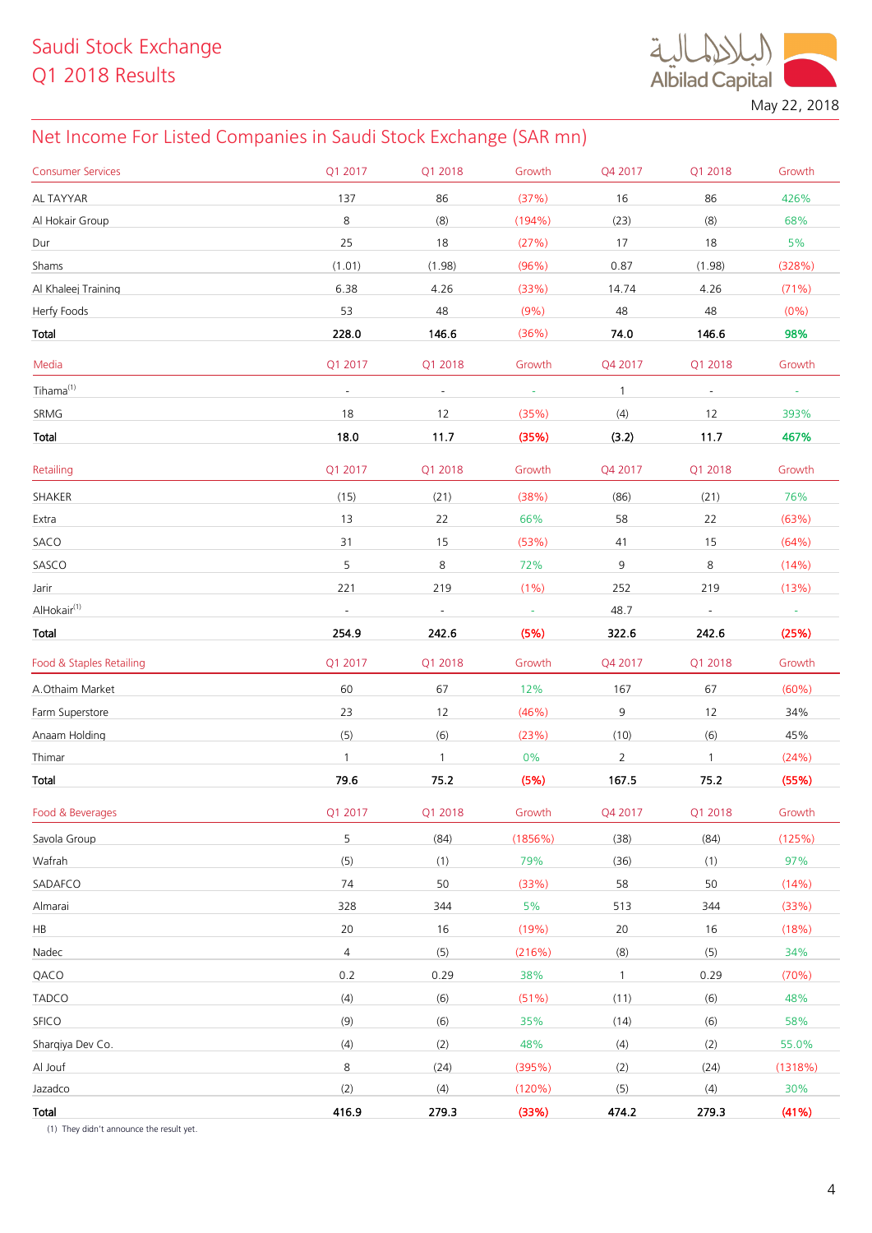$\ddot{a}$ Albilad Capital May 22, 2018

## Net Income For Listed Companies in Saudi Stock Exchange (SAR mn)

| <b>Consumer Services</b> | Q1 2017                  | Q1 2018                  | Growth   | Q4 2017        | Q1 2018        | Growth   |
|--------------------------|--------------------------|--------------------------|----------|----------------|----------------|----------|
| AL TAYYAR                | 137                      | 86                       | (37%)    | 16             | 86             | 426%     |
| Al Hokair Group          | 8                        | (8)                      | (194%)   | (23)           | (8)            | 68%      |
| Dur                      | 25                       | 18                       | (27%)    | 17             | 18             | 5%       |
| Shams                    | (1.01)                   | (1.98)                   | (96%)    | 0.87           | (1.98)         | (328%)   |
| Al Khaleej Training      | 6.38                     | 4.26                     | (33%)    | 14.74          | 4.26           | (71%)    |
| Herfy Foods              | 53                       | 48                       | (9%)     | 48             | 48             | $(0\%)$  |
| Total                    | 228.0                    | 146.6                    | (36%)    | 74.0           | 146.6          | 98%      |
| Media                    | Q1 2017                  | Q1 2018                  | Growth   | Q4 2017        | Q1 2018        | Growth   |
| Tihama <sup>(1)</sup>    | $\blacksquare$           | $\blacksquare$           | $\omega$ | $\mathbf{1}$   | $\omega$       | $\omega$ |
| SRMG                     | 18                       | 12                       | (35%)    | (4)            | 12             | 393%     |
| Total                    | 18.0                     | 11.7                     | (35%)    | (3.2)          | 11.7           | 467%     |
| Retailing                | Q1 2017                  | Q1 2018                  | Growth   | Q4 2017        | Q1 2018        | Growth   |
| SHAKER                   | (15)                     | (21)                     | (38%)    | (86)           | (21)           | 76%      |
| Extra                    | 13                       | 22                       | 66%      | 58             | 22             | (63%)    |
| SACO                     | 31                       | 15                       | (53%)    | 41             | 15             | (64%)    |
| SASCO                    | 5                        | 8                        | 72%      | 9              | 8              | (14%)    |
| Jarir                    | 221                      | 219                      | (1%)     | 252            | 219            | (13%)    |
| AlHokair <sup>(1)</sup>  | $\overline{\phantom{a}}$ | $\overline{\phantom{a}}$ | $\sim$   | 48.7           | $\blacksquare$ | $\sim$   |
| Total                    | 254.9                    | 242.6                    | (5%)     | 322.6          | 242.6          | (25%)    |
|                          |                          |                          |          |                |                |          |
| Food & Staples Retailing | Q1 2017                  | Q1 2018                  | Growth   | Q4 2017        | Q1 2018        | Growth   |
| A.Othaim Market          | 60                       | 67                       | 12%      | 167            | 67             | (60%)    |
| Farm Superstore          | 23                       | 12                       | (46%)    | 9              | 12             | 34%      |
| Anaam Holding            | (5)                      | (6)                      | (23%)    | (10)           | (6)            | 45%      |
| Thimar                   | $\mathbf{1}$             | $\mathbf{1}$             | 0%       | $\overline{2}$ | $\mathbf{1}$   | (24%)    |
| Total                    | 79.6                     | 75.2                     | (5%)     | 167.5          | 75.2           | (55%)    |
| Food & Beverages         | Q1 2017                  | Q1 2018                  | Growth   | Q4 2017        | Q1 2018        | Growth   |
| Savola Group             | 5                        | (84)                     | (1856%)  | (38)           | (84)           | (125%)   |
| Wafrah                   | (5)                      | (1)                      | 79%      | (36)           | (1)            | 97%      |
| SADAFCO                  | 74                       | 50                       | (33%)    | 58             | 50             | (14%)    |
| Almarai                  | 328                      | 344                      | 5%       | 513            | 344            | (33%)    |
| HB                       | 20                       | 16                       | (19%)    | 20             | 16             | (18%)    |
| Nadec                    | $\overline{4}$           | (5)                      | (216%)   | (8)            | (5)            | 34%      |
| QACO                     | 0.2                      | 0.29                     | 38%      | $\mathbf{1}$   | 0.29           | (70%)    |
| <b>TADCO</b>             | (4)                      | (6)                      | (51%)    | (11)           | (6)            | 48%      |
| SFICO                    | (9)                      | (6)                      | 35%      | (14)           | (6)            | 58%      |
| Sharqiya Dev Co.         | (4)                      | (2)                      | 48%      | (4)            | (2)            | 55.0%    |
| Al Jouf                  | 8                        | (24)                     | (395%)   | (2)            | (24)           | (1318%)  |
| Jazadco                  | (2)                      | (4)                      | (120%)   | (5)            | (4)            | 30%      |

(1) They didn't announce the result yet.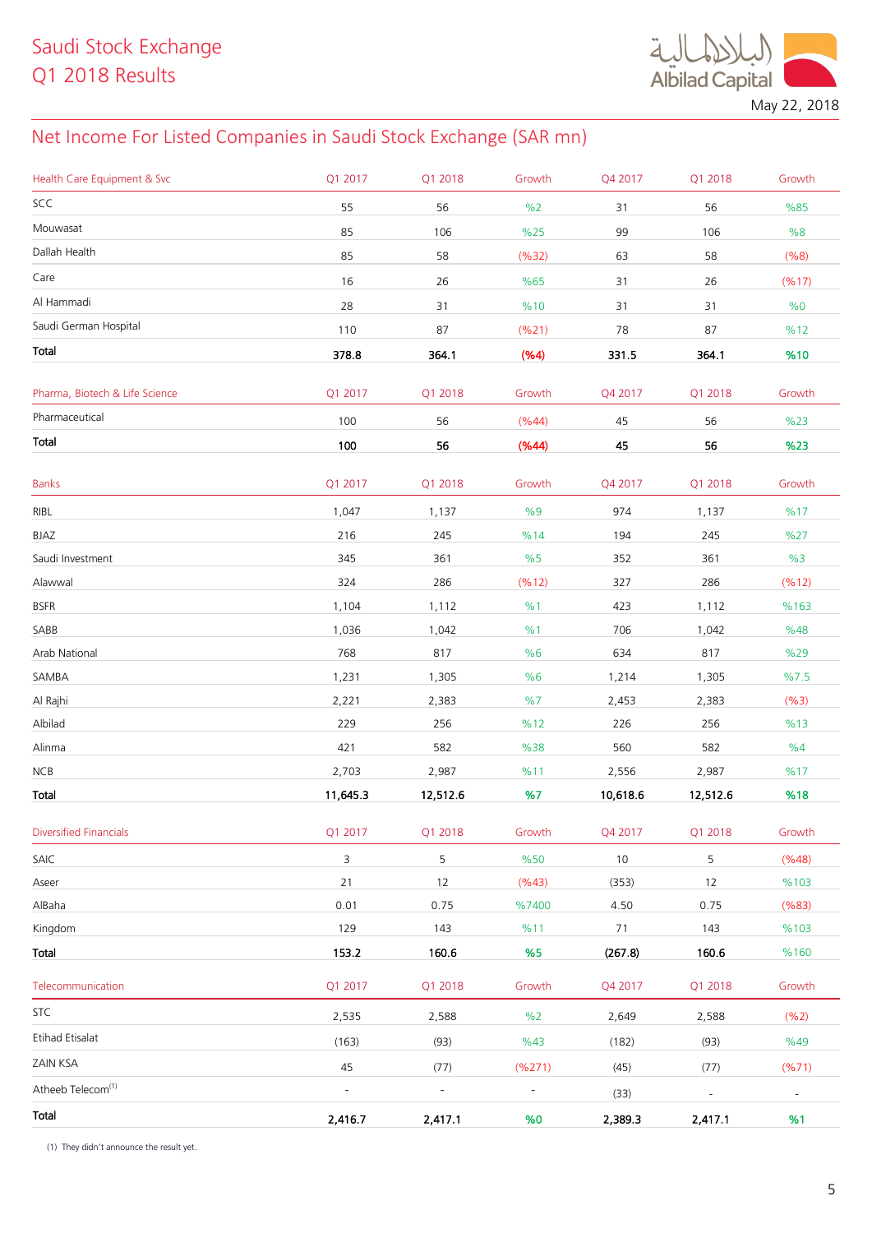

May 22, 2018

## Net Income For Listed Companies in Saudi Stock Exchange (SAR mn)

| Health Care Equipment & Svc    | Q1 2017                  | Q1 2018                  | Growth                   | Q4 2017  | Q1 2018                  | Growth         |
|--------------------------------|--------------------------|--------------------------|--------------------------|----------|--------------------------|----------------|
| SCC                            | 55                       | 56                       | %2                       | 31       | 56                       | %85            |
| Mouwasat                       | 85                       | 106                      | %25                      | 99       | 106                      | %8             |
| Dallah Health                  | 85                       | 58                       | (%32)                    | 63       | 58                       | (%8)           |
| Care                           | 16                       | 26                       | %65                      | 31       | 26                       | (%17)          |
| Al Hammadi                     | 28                       | 31                       | %10                      | 31       | 31                       | %0             |
| Saudi German Hospital          | 110                      | 87                       | (%21)                    | 78       | 87                       | %12            |
| Total                          | 378.8                    | 364.1                    | (%4)                     | 331.5    | 364.1                    | %10            |
|                                |                          |                          |                          |          |                          |                |
| Pharma, Biotech & Life Science | Q1 2017                  | Q1 2018                  | Growth                   | Q4 2017  | Q1 2018                  | Growth         |
| Pharmaceutical                 | 100                      | 56                       | (%44)                    | 45       | 56                       | %23            |
| Total                          | 100                      | 56                       | (%44)                    | 45       | 56                       | %23            |
| <b>Banks</b>                   | Q1 2017                  | Q1 2018                  | Growth                   | Q4 2017  | Q1 2018                  | Growth         |
| RIBL                           | 1,047                    | 1,137                    | %9                       | 974      | 1,137                    | %17            |
| BJAZ                           | 216                      | 245                      | %14                      | 194      | 245                      | %27            |
| Saudi Investment               | 345                      | 361                      | %5                       | 352      | 361                      | %3             |
| Alawwal                        | 324                      | 286                      | (%12)                    | 327      | 286                      | (%12)          |
| <b>BSFR</b>                    | 1,104                    | 1,112                    | %1                       | 423      | 1,112                    | %163           |
| SABB                           | 1,036                    | 1,042                    | %1                       | 706      | 1,042                    | %48            |
| Arab National                  | 768                      | 817                      | %6                       | 634      | 817                      | %29            |
| SAMBA                          | 1,231                    | 1,305                    | %6                       | 1,214    | 1,305                    | %7.5           |
| Al Rajhi                       | 2,221                    | 2,383                    | %7                       | 2,453    | 2,383                    | (%3)           |
| Albilad                        | 229                      | 256                      | %12                      | 226      | 256                      | %13            |
| Alinma                         | 421                      | 582                      | %38                      | 560      | 582                      | %4             |
| NCB                            | 2,703                    | 2,987                    | %11                      | 2,556    | 2,987                    | %17            |
| Total                          | 11,645.3                 | 12,512.6                 | %7                       | 10,618.6 | 12,512.6                 | %18            |
| <b>Diversified Financials</b>  | Q1 2017                  | Q1 2018                  | Growth                   | Q4 2017  | Q1 2018                  | Growth         |
| SAIC                           | 3                        | 5                        | %50                      | $10$     | 5                        | (%48)          |
| Aseer                          | 21                       | 12                       | (%43)                    | (353)    | 12                       | %103           |
| AlBaha                         | 0.01                     | 0.75                     | %7400                    | 4.50     | 0.75                     | (%83)          |
| Kingdom                        | 129                      | 143                      | %11                      | 71       | 143                      | %103           |
| Total                          | 153.2                    | 160.6                    | %5                       | (267.8)  | 160.6                    | %160           |
| Telecommunication              | Q1 2017                  | Q1 2018                  | Growth                   | Q4 2017  | Q1 2018                  | Growth         |
| <b>STC</b>                     | 2,535                    | 2,588                    | %2                       | 2,649    | 2,588                    | (%2)           |
| Etihad Etisalat                | (163)                    | (93)                     | %43                      | (182)    | (93)                     | %49            |
| ZAIN KSA                       | 45                       | (77)                     | (%271)                   | (45)     | (77)                     | (%71)          |
| Atheeb Telecom <sup>(1)</sup>  | $\overline{\phantom{a}}$ | $\overline{\phantom{a}}$ | $\overline{\phantom{0}}$ | (33)     | $\overline{\phantom{a}}$ | $\blacksquare$ |
| Total                          | 2,416.7                  | 2,417.1                  | %0                       | 2,389.3  | 2,417.1                  | %1             |
|                                |                          |                          |                          |          |                          |                |

(1) They didn't announce the result yet.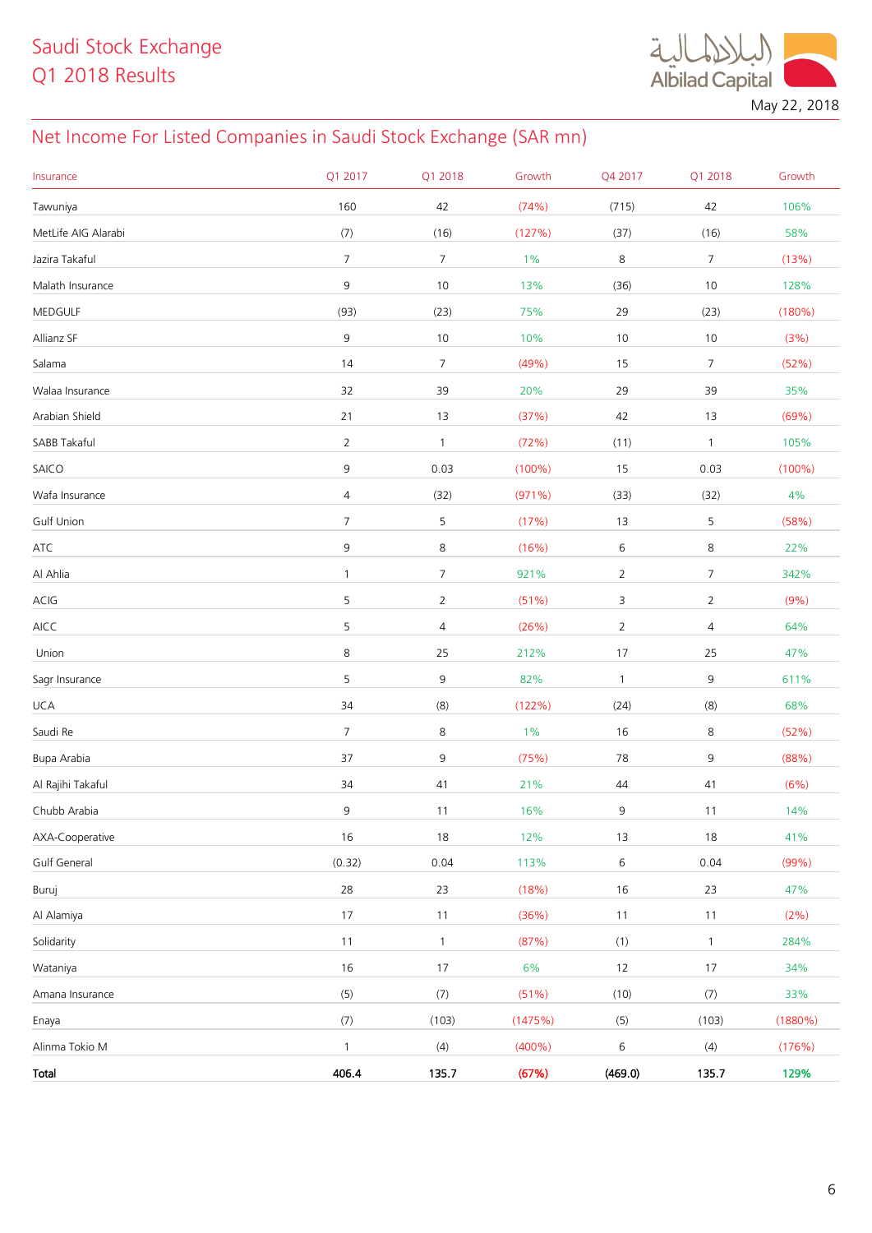**Albilad Capital** May 22, 2018

## Net Income For Listed Companies in Saudi Stock Exchange (SAR mn)

| Insurance           | Q1 2017          | Q1 2018        | Growth    | Q4 2017        | Q1 2018        | Growth     |
|---------------------|------------------|----------------|-----------|----------------|----------------|------------|
| Tawuniya            | 160              | 42             | (74%)     | (715)          | 42             | 106%       |
| MetLife AIG Alarabi | (7)              | (16)           | (127%)    | (37)           | (16)           | 58%        |
| Jazira Takaful      | $\boldsymbol{7}$ | $\overline{7}$ | 1%        | $\,8\,$        | $\overline{7}$ | (13%)      |
| Malath Insurance    | $\mathsf 9$      | $10$           | 13%       | (36)           | $10$           | 128%       |
| MEDGULF             | (93)             | (23)           | 75%       | 29             | (23)           | (180%)     |
| Allianz SF          | $\mathsf 9$      | $10$           | 10%       | 10             | 10             | (3%)       |
| Salama              | 14               | $\overline{7}$ | (49%)     | 15             | $\overline{7}$ | (52%)      |
| Walaa Insurance     | 32               | 39             | 20%       | 29             | 39             | 35%        |
| Arabian Shield      | 21               | 13             | (37%)     | 42             | 13             | (69%)      |
| SABB Takaful        | $\overline{2}$   | $\mathbf{1}$   | (72%)     | (11)           | $\mathbf{1}$   | 105%       |
| SAICO               | 9                | 0.03           | $(100\%)$ | 15             | 0.03           | $(100\%)$  |
| Wafa Insurance      | 4                | (32)           | (971%)    | (33)           | (32)           | $4\%$      |
| <b>Gulf Union</b>   | $\overline{7}$   | 5              | (17%)     | 13             | 5              | (58%)      |
| ATC                 | 9                | 8              | (16%)     | 6              | 8              | 22%        |
| Al Ahlia            | 1                | $\overline{7}$ | 921%      | $\overline{2}$ | $\overline{7}$ | 342%       |
| ACIG                | 5                | $\overline{2}$ | (51%)     | 3              | $\overline{2}$ | (9% )      |
| AICC                | 5                | 4              | (26%)     | $\overline{2}$ | $\overline{4}$ | 64%        |
| Union               | 8                | 25             | 212%      | 17             | 25             | 47%        |
| Sagr Insurance      | 5                | 9              | 82%       | $\mathbf{1}$   | 9              | 611%       |
| <b>UCA</b>          | 34               | (8)            | (122%)    | (24)           | (8)            | 68%        |
| Saudi Re            | $\overline{7}$   | 8              | 1%        | 16             | 8              | (52%)      |
| Bupa Arabia         | 37               | 9              | (75%)     | 78             | 9              | (88%)      |
| Al Rajihi Takaful   | 34               | 41             | 21%       | 44             | 41             | (6%)       |
| Chubb Arabia        | 9                | 11             | 16%       | 9              | 11             | 14%        |
| AXA-Cooperative     | 16               | $18\,$         | 12%       | 13             | $18\,$         | 41%        |
| Gulf General        | (0.32)           | 0.04           | 113%      | $\,$ 6 $\,$    | 0.04           | (99%)      |
| Buruj               | 28               | 23             | (18%)     | 16             | 23             | 47%        |
| Al Alamiya          | 17               | $11$           | (36%)     | $11$           | $11$           | (2%)       |
| Solidarity          | 11               | $\mathbf{1}$   | (87%)     | (1)            | $\mathbf{1}$   | 284%       |
| Wataniya            | 16               | $17\,$         | 6%        | $12$           | $17\,$         | 34%        |
| Amana Insurance     | (5)              | (7)            | (51%)     | (10)           | (7)            | 33%        |
| Enaya               | (7)              | (103)          | (1475%)   | (5)            | (103)          | $(1880\%)$ |
| Alinma Tokio M      | $\mathbf{1}$     | (4)            | $(400\%)$ | 6              | (4)            | (176%)     |
| Total               | 406.4            | 135.7          | (67%)     | (469.0)        | 135.7          | 129%       |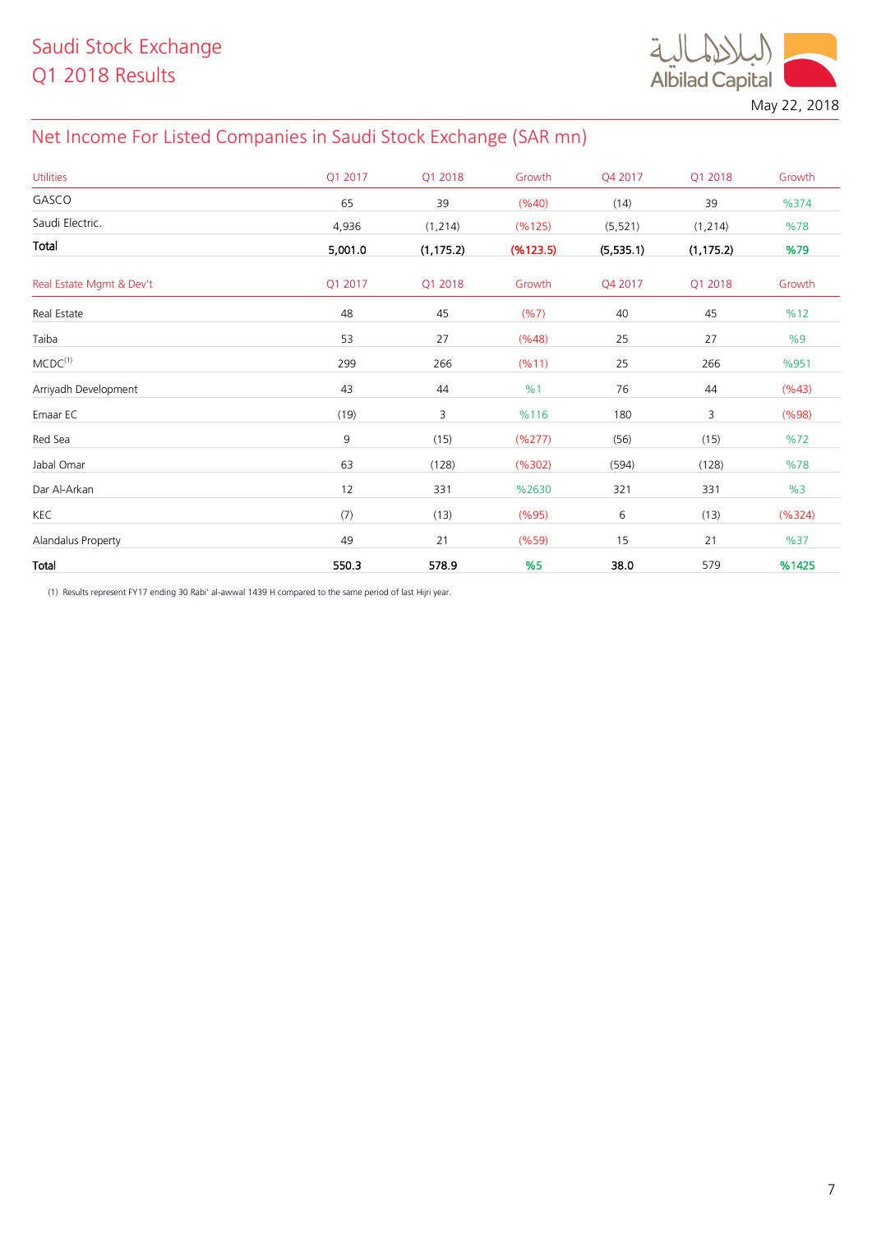

May 22, 2018

## Net Income For Listed Companies in Saudi Stock Exchange (SAR mn)

| <b>Utilities</b>         | Q1 2017 | Q1 2018    | Growth    | Q4 2017   | Q1 2018    | Growth |
|--------------------------|---------|------------|-----------|-----------|------------|--------|
| GASCO                    | 65      | 39         | (%40)     | (14)      | 39         | %374   |
| Saudi Electric.          | 4,936   | (1, 214)   | (%125)    | (5, 521)  | (1, 214)   | %78    |
| Total                    | 5,001.0 | (1, 175.2) | (% 123.5) | (5,535.1) | (1, 175.2) | %79    |
| Real Estate Mgmt & Dev't | Q1 2017 | Q1 2018    | Growth    | Q4 2017   | Q1 2018    | Growth |
| Real Estate              | 48      | 45         | (%7)      | 40        | 45         | %12    |
| Taiba                    | 53      | 27         | (%48)     | 25        | 27         | %9     |
| $MCDC^{(1)}$             | 299     | 266        | (%11)     | 25        | 266        | %951   |
| Arriyadh Development     | 43      | 44         | %1        | 76        | 44         | (%43)  |
| Emaar EC                 | (19)    | 3          | %116      | 180       | 3          | (%98)  |
| Red Sea                  | 9       | (15)       | (%277)    | (56)      | (15)       | %72    |
| Jabal Omar               | 63      | (128)      | (%302)    | (594)     | (128)      | %78    |
| Dar Al-Arkan             | 12      | 331        | %2630     | 321       | 331        | %3     |
| KEC                      | (7)     | (13)       | (%95)     | 6         | (13)       | (%324) |
| Alandalus Property       | 49      | 21         | (%59)     | 15        | 21         | %37    |
| Total                    | 550.3   | 578.9      | %5        | 38.0      | 579        | %1425  |

(1) Results represent FY17 ending 30 Rabi' al-awwal 1439 H compared to the same period of last Hijri year.